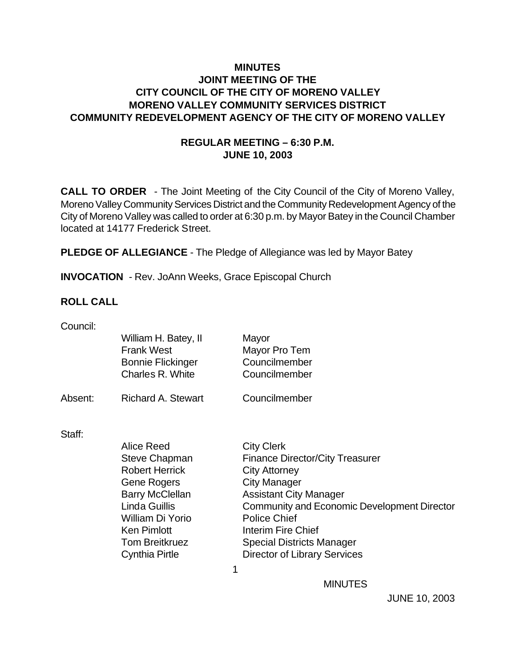# **MINUTES JOINT MEETING OF THE CITY COUNCIL OF THE CITY OF MORENO VALLEY MORENO VALLEY COMMUNITY SERVICES DISTRICT COMMUNITY REDEVELOPMENT AGENCY OF THE CITY OF MORENO VALLEY**

# **REGULAR MEETING – 6:30 P.M. JUNE 10, 2003**

**CALL TO ORDER** - The Joint Meeting of the City Council of the City of Moreno Valley, Moreno Valley Community Services District and the Community Redevelopment Agency of the City of Moreno Valley was called to order at 6:30 p.m. by Mayor Batey in the Council Chamber located at 14177 Frederick Street.

**PLEDGE OF ALLEGIANCE** - The Pledge of Allegiance was led by Mayor Batey

**INVOCATION** - Rev. JoAnn Weeks, Grace Episcopal Church

# **ROLL CALL**

| Council: |                           |                                             |
|----------|---------------------------|---------------------------------------------|
|          | William H. Batey, II      | Mayor                                       |
|          | <b>Frank West</b>         | Mayor Pro Tem                               |
|          | <b>Bonnie Flickinger</b>  | Councilmember                               |
|          | Charles R. White          | Councilmember                               |
| Absent:  | <b>Richard A. Stewart</b> | Councilmember                               |
| Staff:   |                           |                                             |
|          | Alice Reed                | <b>City Clerk</b>                           |
|          | <b>Steve Chapman</b>      | <b>Finance Director/City Treasurer</b>      |
|          | <b>Robert Herrick</b>     | <b>City Attorney</b>                        |
|          | <b>Gene Rogers</b>        | <b>City Manager</b>                         |
|          | <b>Barry McClellan</b>    | <b>Assistant City Manager</b>               |
|          | <b>Linda Guillis</b>      | Community and Economic Development Director |
|          | William Di Yorio          | <b>Police Chief</b>                         |
|          | <b>Ken Pimlott</b>        | Interim Fire Chief                          |
|          | <b>Tom Breitkruez</b>     | <b>Special Districts Manager</b>            |
|          | <b>Cynthia Pirtle</b>     | <b>Director of Library Services</b>         |
|          |                           | 1                                           |

**MINUTES**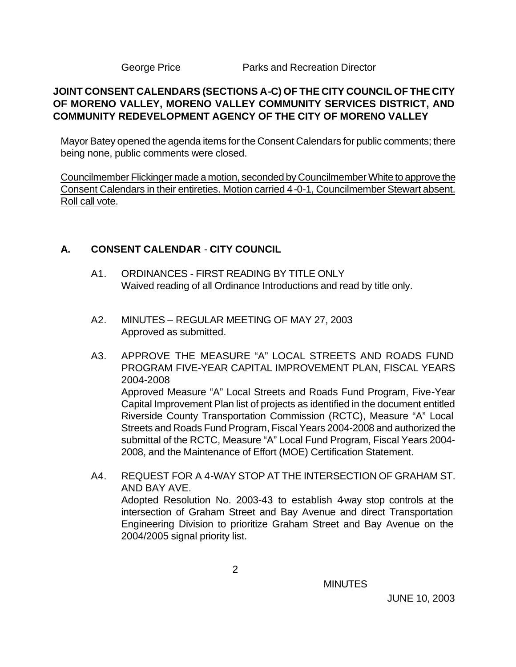George Price **Parks and Recreation Director** 

# **JOINT CONSENT CALENDARS (SECTIONS A-C) OF THE CITY COUNCIL OF THE CITY OF MORENO VALLEY, MORENO VALLEY COMMUNITY SERVICES DISTRICT, AND COMMUNITY REDEVELOPMENT AGENCY OF THE CITY OF MORENO VALLEY**

Mayor Batey opened the agenda items for the Consent Calendars for public comments; there being none, public comments were closed.

Councilmember Flickinger made a motion, seconded by Councilmember White to approve the Consent Calendars in their entireties. Motion carried 4-0-1, Councilmember Stewart absent. Roll call vote.

# **A. CONSENT CALENDAR** - **CITY COUNCIL**

- A1. ORDINANCES FIRST READING BY TITLE ONLY Waived reading of all Ordinance Introductions and read by title only.
- A2. MINUTES REGULAR MEETING OF MAY 27, 2003 Approved as submitted.
- A3. APPROVE THE MEASURE "A" LOCAL STREETS AND ROADS FUND PROGRAM FIVE-YEAR CAPITAL IMPROVEMENT PLAN, FISCAL YEARS 2004-2008 Approved Measure "A" Local Streets and Roads Fund Program, Five-Year Capital Improvement Plan list of projects as identified in the document entitled Riverside County Transportation Commission (RCTC), Measure "A" Local Streets and Roads Fund Program, Fiscal Years 2004-2008 and authorized the submittal of the RCTC, Measure "A" Local Fund Program, Fiscal Years 2004- 2008, and the Maintenance of Effort (MOE) Certification Statement.
- A4. REQUEST FOR A 4-WAY STOP AT THE INTERSECTION OF GRAHAM ST. AND BAY AVE. Adopted Resolution No. 2003-43 to establish 4-way stop controls at the intersection of Graham Street and Bay Avenue and direct Transportation Engineering Division to prioritize Graham Street and Bay Avenue on the 2004/2005 signal priority list.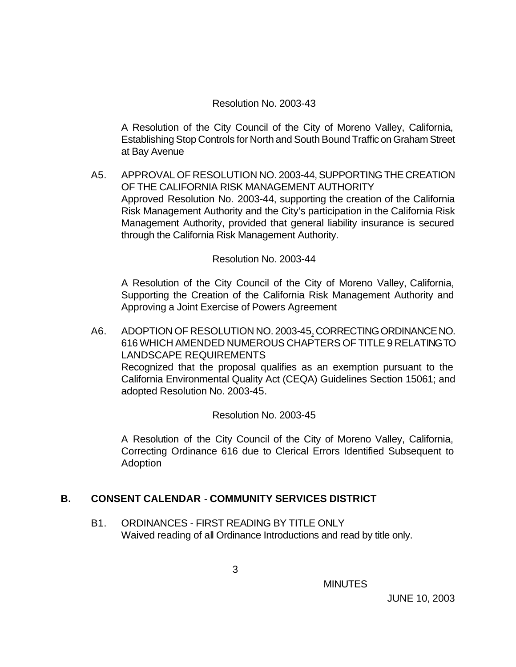#### Resolution No. 2003-43

A Resolution of the City Council of the City of Moreno Valley, California, Establishing Stop Controls for North and South Bound Traffic on Graham Street at Bay Avenue

A5. APPROVAL OF RESOLUTION NO. 2003-44, SUPPORTING THE CREATION OF THE CALIFORNIA RISK MANAGEMENT AUTHORITY Approved Resolution No. 2003-44, supporting the creation of the California Risk Management Authority and the City's participation in the California Risk Management Authority, provided that general liability insurance is secured through the California Risk Management Authority.

#### Resolution No. 2003-44

A Resolution of the City Council of the City of Moreno Valley, California, Supporting the Creation of the California Risk Management Authority and Approving a Joint Exercise of Powers Agreement

A6. ADOPTION OF RESOLUTION NO. 2003-45, CORRECTING ORDINANCE NO. 616 WHICH AMENDED NUMEROUS CHAPTERS OF TITLE 9 RELATING TO LANDSCAPE REQUIREMENTS Recognized that the proposal qualifies as an exemption pursuant to the California Environmental Quality Act (CEQA) Guidelines Section 15061; and adopted Resolution No. 2003-45.

Resolution No. 2003-45

A Resolution of the City Council of the City of Moreno Valley, California, Correcting Ordinance 616 due to Clerical Errors Identified Subsequent to Adoption

# **B. CONSENT CALENDAR** - **COMMUNITY SERVICES DISTRICT**

B1. ORDINANCES - FIRST READING BY TITLE ONLY Waived reading of all Ordinance Introductions and read by title only.

**MINUTES**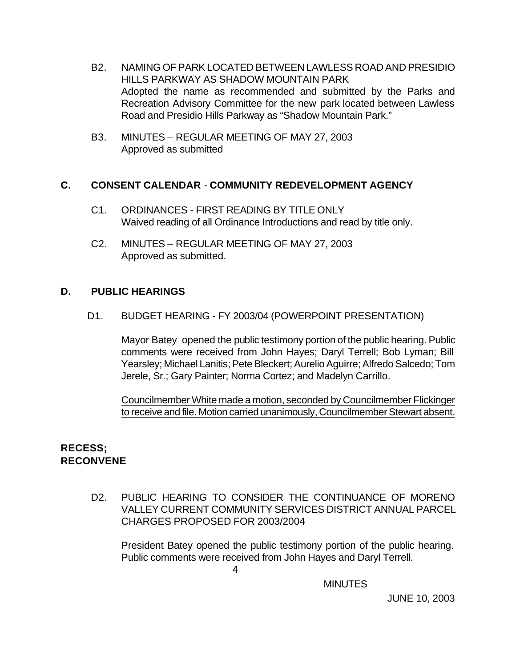- B2. NAMING OF PARK LOCATED BETWEEN LAWLESS ROAD AND PRESIDIO HILLS PARKWAY AS SHADOW MOUNTAIN PARK Adopted the name as recommended and submitted by the Parks and Recreation Advisory Committee for the new park located between Lawless Road and Presidio Hills Parkway as "Shadow Mountain Park."
- B3. MINUTES REGULAR MEETING OF MAY 27, 2003 Approved as submitted

# **C. CONSENT CALENDAR** - **COMMUNITY REDEVELOPMENT AGENCY**

- C1. ORDINANCES FIRST READING BY TITLE ONLY Waived reading of all Ordinance Introductions and read by title only.
- C2. MINUTES REGULAR MEETING OF MAY 27, 2003 Approved as submitted.

# **D. PUBLIC HEARINGS**

D1. BUDGET HEARING - FY 2003/04 (POWERPOINT PRESENTATION)

Mayor Batey opened the public testimony portion of the public hearing. Public comments were received from John Hayes; Daryl Terrell; Bob Lyman; Bill Yearsley; Michael Lanitis; Pete Bleckert; Aurelio Aguirre; Alfredo Salcedo; Tom Jerele, Sr.; Gary Painter; Norma Cortez; and Madelyn Carrillo.

Councilmember White made a motion, seconded by Councilmember Flickinger to receive and file. Motion carried unanimously, Councilmember Stewart absent.

# **RECESS; RECONVENE**

D2. PUBLIC HEARING TO CONSIDER THE CONTINUANCE OF MORENO VALLEY CURRENT COMMUNITY SERVICES DISTRICT ANNUAL PARCEL CHARGES PROPOSED FOR 2003/2004

President Batey opened the public testimony portion of the public hearing. Public comments were received from John Hayes and Daryl Terrell.

4

**MINUTES**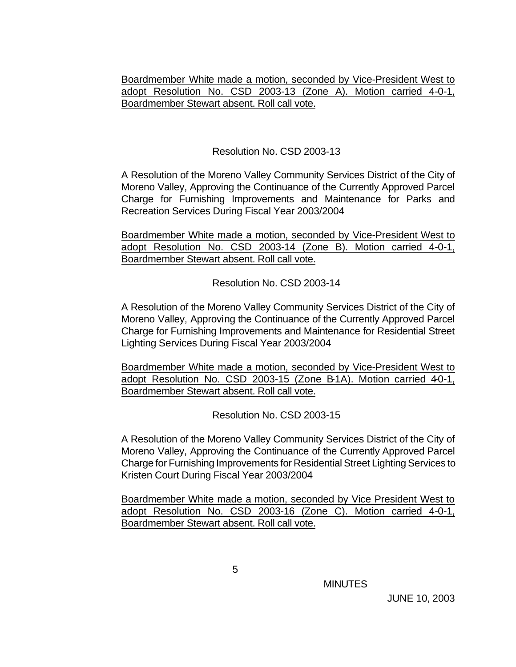Boardmember White made a motion, seconded by Vice-President West to adopt Resolution No. CSD 2003-13 (Zone A). Motion carried 4-0-1, Boardmember Stewart absent. Roll call vote.

#### Resolution No. CSD 2003-13

A Resolution of the Moreno Valley Community Services District of the City of Moreno Valley, Approving the Continuance of the Currently Approved Parcel Charge for Furnishing Improvements and Maintenance for Parks and Recreation Services During Fiscal Year 2003/2004

Boardmember White made a motion, seconded by Vice-President West to adopt Resolution No. CSD 2003-14 (Zone B). Motion carried 4-0-1, Boardmember Stewart absent. Roll call vote.

Resolution No. CSD 2003-14

A Resolution of the Moreno Valley Community Services District of the City of Moreno Valley, Approving the Continuance of the Currently Approved Parcel Charge for Furnishing Improvements and Maintenance for Residential Street Lighting Services During Fiscal Year 2003/2004

Boardmember White made a motion, seconded by Vice-President West to adopt Resolution No. CSD 2003-15 (Zone B-1A). Motion carried  $40-1$ , Boardmember Stewart absent. Roll call vote.

Resolution No. CSD 2003-15

A Resolution of the Moreno Valley Community Services District of the City of Moreno Valley, Approving the Continuance of the Currently Approved Parcel Charge for Furnishing Improvements for Residential Street Lighting Services to Kristen Court During Fiscal Year 2003/2004

Boardmember White made a motion, seconded by Vice President West to adopt Resolution No. CSD 2003-16 (Zone C). Motion carried 4-0-1, Boardmember Stewart absent. Roll call vote.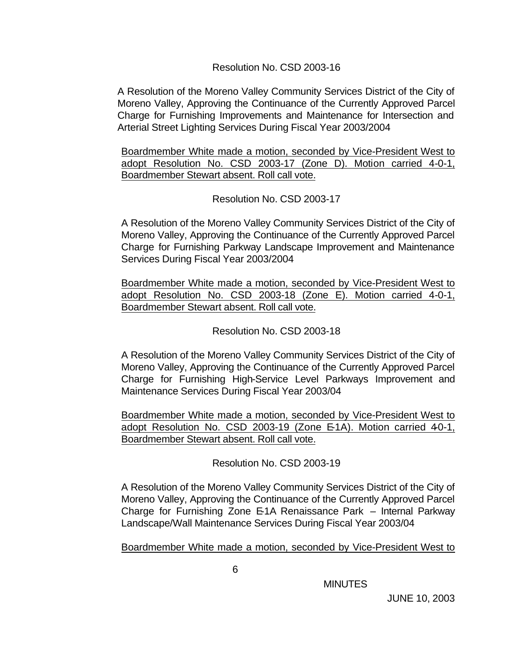#### Resolution No. CSD 2003-16

A Resolution of the Moreno Valley Community Services District of the City of Moreno Valley, Approving the Continuance of the Currently Approved Parcel Charge for Furnishing Improvements and Maintenance for Intersection and Arterial Street Lighting Services During Fiscal Year 2003/2004

Boardmember White made a motion, seconded by Vice-President West to adopt Resolution No. CSD 2003-17 (Zone D). Motion carried 4-0-1, Boardmember Stewart absent. Roll call vote.

#### Resolution No. CSD 2003-17

A Resolution of the Moreno Valley Community Services District of the City of Moreno Valley, Approving the Continuance of the Currently Approved Parcel Charge for Furnishing Parkway Landscape Improvement and Maintenance Services During Fiscal Year 2003/2004

Boardmember White made a motion, seconded by Vice-President West to adopt Resolution No. CSD 2003-18 (Zone E). Motion carried 4-0-1, Boardmember Stewart absent. Roll call vote.

Resolution No. CSD 2003-18

A Resolution of the Moreno Valley Community Services District of the City of Moreno Valley, Approving the Continuance of the Currently Approved Parcel Charge for Furnishing High-Service Level Parkways Improvement and Maintenance Services During Fiscal Year 2003/04

Boardmember White made a motion, seconded by Vice-President West to adopt Resolution No. CSD 2003-19 (Zone E-1A). Motion carried 40-1, Boardmember Stewart absent. Roll call vote.

Resolution No. CSD 2003-19

A Resolution of the Moreno Valley Community Services District of the City of Moreno Valley, Approving the Continuance of the Currently Approved Parcel Charge for Furnishing Zone E-1A Renaissance Park – Internal Parkway Landscape/Wall Maintenance Services During Fiscal Year 2003/04

Boardmember White made a motion, seconded by Vice-President West to

**MINUTES**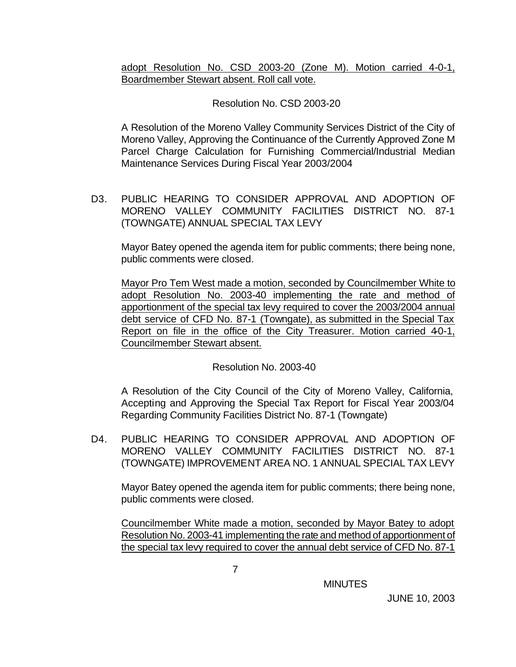adopt Resolution No. CSD 2003-20 (Zone M). Motion carried 4-0-1, Boardmember Stewart absent. Roll call vote.

# Resolution No. CSD 2003-20

A Resolution of the Moreno Valley Community Services District of the City of Moreno Valley, Approving the Continuance of the Currently Approved Zone M Parcel Charge Calculation for Furnishing Commercial/Industrial Median Maintenance Services During Fiscal Year 2003/2004

D3. PUBLIC HEARING TO CONSIDER APPROVAL AND ADOPTION OF MORENO VALLEY COMMUNITY FACILITIES DISTRICT NO. 87-1 (TOWNGATE) ANNUAL SPECIAL TAX LEVY

Mayor Batey opened the agenda item for public comments; there being none, public comments were closed.

Mayor Pro Tem West made a motion, seconded by Councilmember White to adopt Resolution No. 2003-40 implementing the rate and method of apportionment of the special tax levy required to cover the 2003/2004 annual debt service of CFD No. 87-1 (Towngate), as submitted in the Special Tax Report on file in the office of the City Treasurer. Motion carried 40-1, Councilmember Stewart absent.

# Resolution No. 2003-40

A Resolution of the City Council of the City of Moreno Valley, California, Accepting and Approving the Special Tax Report for Fiscal Year 2003/04 Regarding Community Facilities District No. 87-1 (Towngate)

D4. PUBLIC HEARING TO CONSIDER APPROVAL AND ADOPTION OF MORENO VALLEY COMMUNITY FACILITIES DISTRICT NO. 87-1 (TOWNGATE) IMPROVEMENT AREA NO. 1 ANNUAL SPECIAL TAX LEVY

Mayor Batey opened the agenda item for public comments; there being none, public comments were closed.

Councilmember White made a motion, seconded by Mayor Batey to adopt Resolution No. 2003-41 implementing the rate and method of apportionment of the special tax levy required to cover the annual debt service of CFD No. 87-1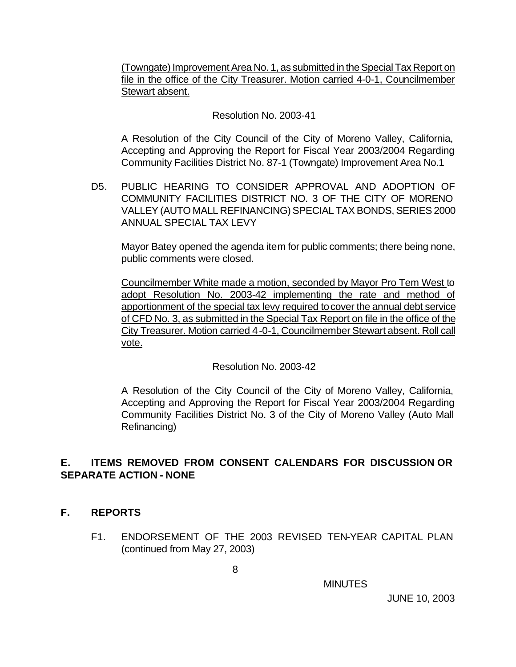(Towngate) Improvement Area No. 1, as submitted in the Special Tax Report on file in the office of the City Treasurer. Motion carried 4-0-1, Councilmember Stewart absent.

Resolution No. 2003-41

A Resolution of the City Council of the City of Moreno Valley, California, Accepting and Approving the Report for Fiscal Year 2003/2004 Regarding Community Facilities District No. 87-1 (Towngate) Improvement Area No.1

D5. PUBLIC HEARING TO CONSIDER APPROVAL AND ADOPTION OF COMMUNITY FACILITIES DISTRICT NO. 3 OF THE CITY OF MORENO VALLEY (AUTO MALL REFINANCING) SPECIAL TAX BONDS, SERIES 2000 ANNUAL SPECIAL TAX LEVY

Mayor Batey opened the agenda item for public comments; there being none, public comments were closed.

Councilmember White made a motion, seconded by Mayor Pro Tem West to adopt Resolution No. 2003-42 implementing the rate and method of apportionment of the special tax levy required to cover the annual debt service of CFD No. 3, as submitted in the Special Tax Report on file in the office of the City Treasurer. Motion carried 4-0-1, Councilmember Stewart absent. Roll call vote.

# Resolution No. 2003-42

A Resolution of the City Council of the City of Moreno Valley, California, Accepting and Approving the Report for Fiscal Year 2003/2004 Regarding Community Facilities District No. 3 of the City of Moreno Valley (Auto Mall Refinancing)

# **E. ITEMS REMOVED FROM CONSENT CALENDARS FOR DISCUSSION OR SEPARATE ACTION - NONE**

# **F. REPORTS**

F1. ENDORSEMENT OF THE 2003 REVISED TEN-YEAR CAPITAL PLAN (continued from May 27, 2003)

**MINUTES**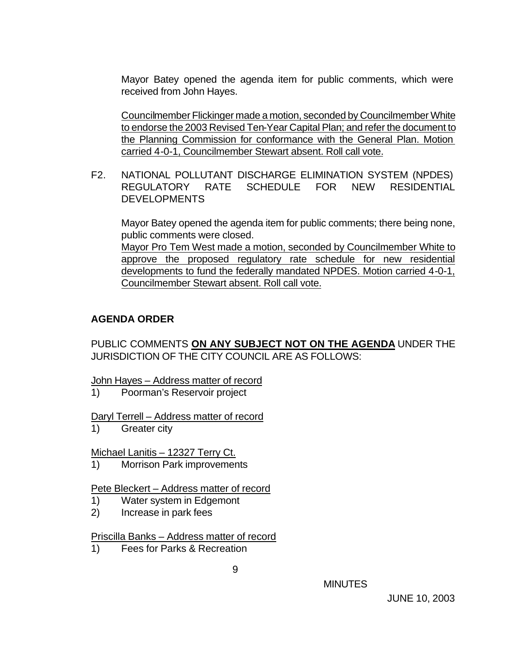Mayor Batey opened the agenda item for public comments, which were received from John Hayes.

Councilmember Flickinger made a motion, seconded by Councilmember White to endorse the 2003 Revised Ten-Year Capital Plan; and refer the document to the Planning Commission for conformance with the General Plan. Motion carried 4-0-1, Councilmember Stewart absent. Roll call vote.

F2. NATIONAL POLLUTANT DISCHARGE ELIMINATION SYSTEM (NPDES) REGULATORY RATE SCHEDULE FOR NEW RESIDENTIAL DEVELOPMENTS

Mayor Batey opened the agenda item for public comments; there being none, public comments were closed.

Mayor Pro Tem West made a motion, seconded by Councilmember White to approve the proposed regulatory rate schedule for new residential developments to fund the federally mandated NPDES. Motion carried 4-0-1, Councilmember Stewart absent. Roll call vote.

# **AGENDA ORDER**

PUBLIC COMMENTS **ON ANY SUBJECT NOT ON THE AGENDA** UNDER THE JURISDICTION OF THE CITY COUNCIL ARE AS FOLLOWS:

John Hayes – Address matter of record

1) Poorman's Reservoir project

Daryl Terrell – Address matter of record

1) Greater city

#### Michael Lanitis – 12327 Terry Ct.

1) Morrison Park improvements

Pete Bleckert – Address matter of record

- 1) Water system in Edgemont
- 2) Increase in park fees

#### Priscilla Banks – Address matter of record

1) Fees for Parks & Recreation

MINUTES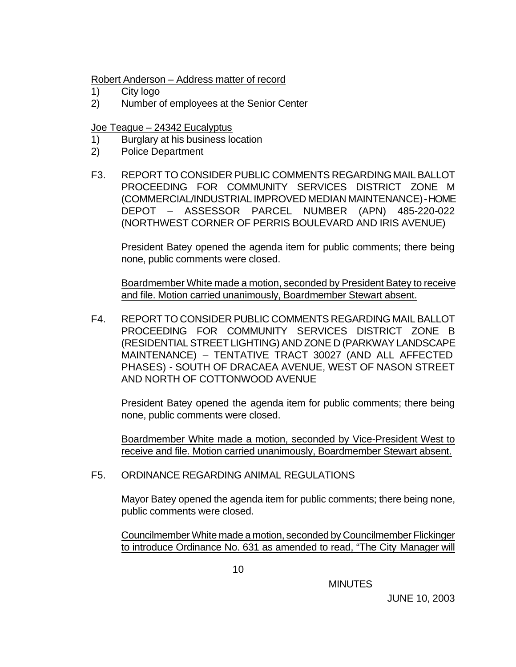#### Robert Anderson – Address matter of record

- 1) City logo
- 2) Number of employees at the Senior Center

# Joe Teague – 24342 Eucalyptus

- 1) Burglary at his business location
- 2) Police Department
- F3. REPORT TO CONSIDER PUBLIC COMMENTS REGARDING MAIL BALLOT PROCEEDING FOR COMMUNITY SERVICES DISTRICT ZONE M (COMMERCIAL/INDUSTRIAL IMPROVED MEDIAN MAINTENANCE) - HOME DEPOT – ASSESSOR PARCEL NUMBER (APN) 485-220-022 (NORTHWEST CORNER OF PERRIS BOULEVARD AND IRIS AVENUE)

President Batey opened the agenda item for public comments; there being none, public comments were closed.

Boardmember White made a motion, seconded by President Batey to receive and file. Motion carried unanimously, Boardmember Stewart absent.

F4. REPORT TO CONSIDER PUBLIC COMMENTS REGARDING MAIL BALLOT PROCEEDING FOR COMMUNITY SERVICES DISTRICT ZONE B (RESIDENTIAL STREET LIGHTING) AND ZONE D (PARKWAY LANDSCAPE MAINTENANCE) – TENTATIVE TRACT 30027 (AND ALL AFFECTED PHASES) - SOUTH OF DRACAEA AVENUE, WEST OF NASON STREET AND NORTH OF COTTONWOOD AVENUE

President Batey opened the agenda item for public comments; there being none, public comments were closed.

Boardmember White made a motion, seconded by Vice-President West to receive and file. Motion carried unanimously, Boardmember Stewart absent.

F5. ORDINANCE REGARDING ANIMAL REGULATIONS

Mayor Batey opened the agenda item for public comments; there being none, public comments were closed.

Councilmember White made a motion, seconded by Councilmember Flickinger to introduce Ordinance No. 631 as amended to read, "The City Manager will

**MINUTES**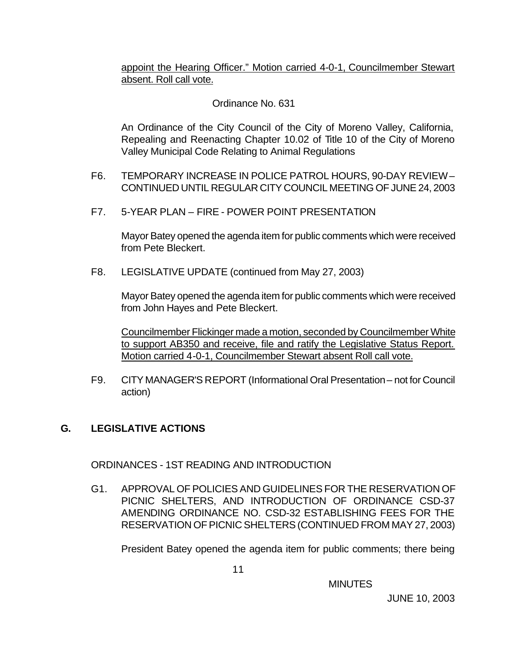appoint the Hearing Officer." Motion carried 4-0-1, Councilmember Stewart absent. Roll call vote.

# Ordinance No. 631

An Ordinance of the City Council of the City of Moreno Valley, California, Repealing and Reenacting Chapter 10.02 of Title 10 of the City of Moreno Valley Municipal Code Relating to Animal Regulations

- F6. TEMPORARY INCREASE IN POLICE PATROL HOURS, 90-DAY REVIEW CONTINUED UNTIL REGULAR CITY COUNCIL MEETING OF JUNE 24, 2003
- F7. 5-YEAR PLAN FIRE POWER POINT PRESENTATION

 Mayor Batey opened the agenda item for public comments which were received from Pete Bleckert.

F8. LEGISLATIVE UPDATE (continued from May 27, 2003)

Mayor Batey opened the agenda item for public comments which were received from John Hayes and Pete Bleckert.

Councilmember Flickinger made a motion, seconded by Councilmember White to support AB350 and receive, file and ratify the Legislative Status Report. Motion carried 4-0-1, Councilmember Stewart absent Roll call vote.

F9. CITY MANAGER'S REPORT (Informational Oral Presentation – not for Council action)

# **G. LEGISLATIVE ACTIONS**

ORDINANCES - 1ST READING AND INTRODUCTION

G1. APPROVAL OF POLICIES AND GUIDELINES FOR THE RESERVATION OF PICNIC SHELTERS, AND INTRODUCTION OF ORDINANCE CSD-37 AMENDING ORDINANCE NO. CSD-32 ESTABLISHING FEES FOR THE RESERVATION OF PICNIC SHELTERS (CONTINUED FROM MAY 27, 2003)

President Batey opened the agenda item for public comments; there being

**MINUTES**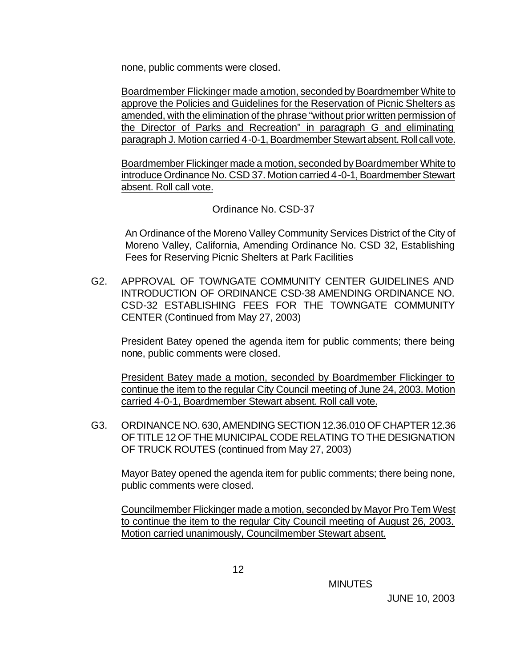none, public comments were closed.

Boardmember Flickinger made a motion, seconded by Boardmember White to approve the Policies and Guidelines for the Reservation of Picnic Shelters as amended, with the elimination of the phrase "without prior written permission of the Director of Parks and Recreation" in paragraph G and eliminating paragraph J. Motion carried 4-0-1, Boardmember Stewart absent. Roll call vote.

Boardmember Flickinger made a motion, seconded by Boardmember White to introduce Ordinance No. CSD 37. Motion carried 4-0-1, Boardmember Stewart absent. Roll call vote.

#### Ordinance No. CSD-37

An Ordinance of the Moreno Valley Community Services District of the City of Moreno Valley, California, Amending Ordinance No. CSD 32, Establishing Fees for Reserving Picnic Shelters at Park Facilities

G2. APPROVAL OF TOWNGATE COMMUNITY CENTER GUIDELINES AND INTRODUCTION OF ORDINANCE CSD-38 AMENDING ORDINANCE NO. CSD-32 ESTABLISHING FEES FOR THE TOWNGATE COMMUNITY CENTER (Continued from May 27, 2003)

President Batey opened the agenda item for public comments; there being none, public comments were closed.

President Batey made a motion, seconded by Boardmember Flickinger to continue the item to the regular City Council meeting of June 24, 2003. Motion carried 4-0-1, Boardmember Stewart absent. Roll call vote.

G3. ORDINANCE NO. 630, AMENDING SECTION 12.36.010 OF CHAPTER 12.36 OF TITLE 12 OF THE MUNICIPAL CODE RELATING TO THE DESIGNATION OF TRUCK ROUTES (continued from May 27, 2003)

Mayor Batey opened the agenda item for public comments; there being none, public comments were closed.

Councilmember Flickinger made a motion, seconded by Mayor Pro Tem West to continue the item to the regular City Council meeting of August 26, 2003. Motion carried unanimously, Councilmember Stewart absent.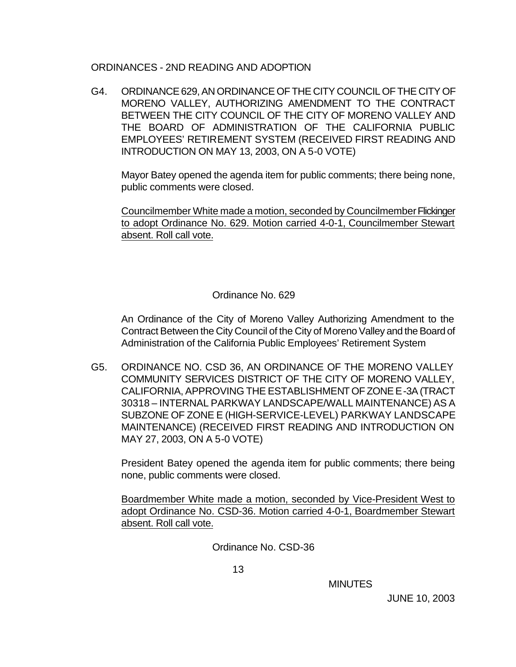#### ORDINANCES - 2ND READING AND ADOPTION

G4. ORDINANCE 629, AN ORDINANCE OF THE CITY COUNCIL OF THE CITY OF MORENO VALLEY, AUTHORIZING AMENDMENT TO THE CONTRACT BETWEEN THE CITY COUNCIL OF THE CITY OF MORENO VALLEY AND THE BOARD OF ADMINISTRATION OF THE CALIFORNIA PUBLIC EMPLOYEES' RETIREMENT SYSTEM (RECEIVED FIRST READING AND INTRODUCTION ON MAY 13, 2003, ON A 5-0 VOTE)

Mayor Batey opened the agenda item for public comments; there being none, public comments were closed.

Councilmember White made a motion, seconded by Councilmember Flickinger to adopt Ordinance No. 629. Motion carried 4-0-1, Councilmember Stewart absent. Roll call vote.

#### Ordinance No. 629

An Ordinance of the City of Moreno Valley Authorizing Amendment to the Contract Between the City Council of the City of Moreno Valley and the Board of Administration of the California Public Employees' Retirement System

G5. ORDINANCE NO. CSD 36, AN ORDINANCE OF THE MORENO VALLEY COMMUNITY SERVICES DISTRICT OF THE CITY OF MORENO VALLEY, CALIFORNIA, APPROVING THE ESTABLISHMENT OF ZONE E-3A (TRACT 30318 – INTERNAL PARKWAY LANDSCAPE/WALL MAINTENANCE) AS A SUBZONE OF ZONE E (HIGH-SERVICE-LEVEL) PARKWAY LANDSCAPE MAINTENANCE) (RECEIVED FIRST READING AND INTRODUCTION ON MAY 27, 2003, ON A 5-0 VOTE)

President Batey opened the agenda item for public comments; there being none, public comments were closed.

Boardmember White made a motion, seconded by Vice-President West to adopt Ordinance No. CSD-36. Motion carried 4-0-1, Boardmember Stewart absent. Roll call vote.

Ordinance No. CSD-36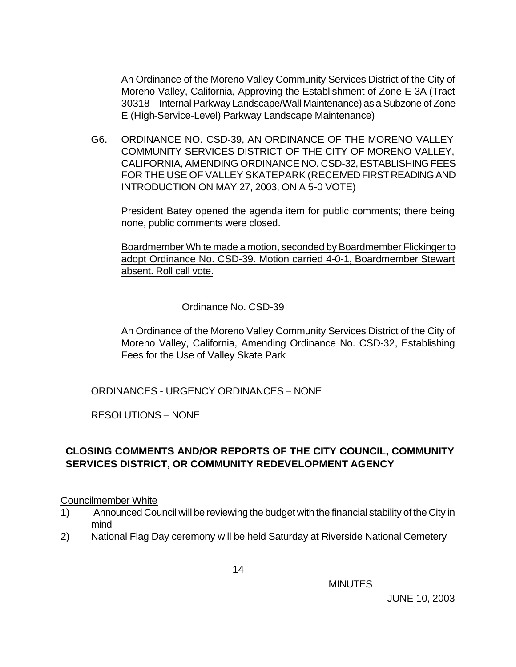An Ordinance of the Moreno Valley Community Services District of the City of Moreno Valley, California, Approving the Establishment of Zone E-3A (Tract 30318 – Internal Parkway Landscape/Wall Maintenance) as a Subzone of Zone E (High-Service-Level) Parkway Landscape Maintenance)

G6. ORDINANCE NO. CSD-39, AN ORDINANCE OF THE MORENO VALLEY COMMUNITY SERVICES DISTRICT OF THE CITY OF MORENO VALLEY, CALIFORNIA, AMENDING ORDINANCE NO. CSD-32, ESTABLISHING FEES FOR THE USE OF VALLEY SKATEPARK (RECEIVED FIRST READING AND INTRODUCTION ON MAY 27, 2003, ON A 5-0 VOTE)

President Batey opened the agenda item for public comments; there being none, public comments were closed.

Boardmember White made a motion, seconded by Boardmember Flickinger to adopt Ordinance No. CSD-39. Motion carried 4-0-1, Boardmember Stewart absent. Roll call vote.

#### Ordinance No. CSD-39

An Ordinance of the Moreno Valley Community Services District of the City of Moreno Valley, California, Amending Ordinance No. CSD-32, Establishing Fees for the Use of Valley Skate Park

ORDINANCES - URGENCY ORDINANCES – NONE

RESOLUTIONS – NONE

# **CLOSING COMMENTS AND/OR REPORTS OF THE CITY COUNCIL, COMMUNITY SERVICES DISTRICT, OR COMMUNITY REDEVELOPMENT AGENCY**

#### Councilmember White

- 1) Announced Council will be reviewing the budget with the financial stability of the City in mind
- 2) National Flag Day ceremony will be held Saturday at Riverside National Cemetery

**MINUTES**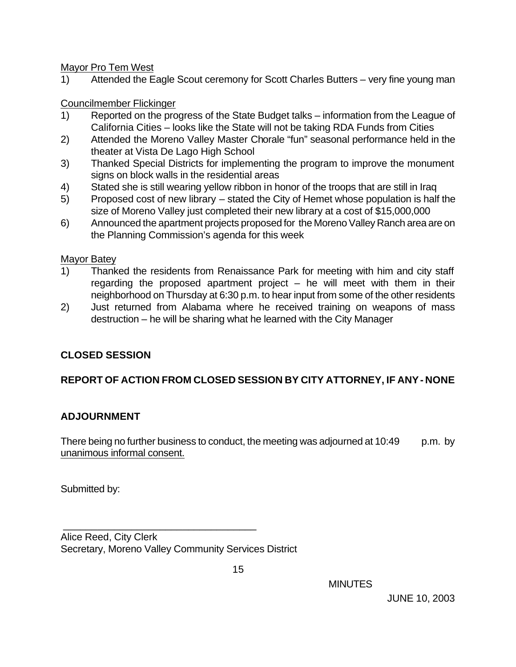Mayor Pro Tem West

1) Attended the Eagle Scout ceremony for Scott Charles Butters – very fine young man

Councilmember Flickinger

- 1) Reported on the progress of the State Budget talks information from the League of California Cities – looks like the State will not be taking RDA Funds from Cities
- 2) Attended the Moreno Valley Master Chorale "fun" seasonal performance held in the theater at Vista De Lago High School
- 3) Thanked Special Districts for implementing the program to improve the monument signs on block walls in the residential areas
- 4) Stated she is still wearing yellow ribbon in honor of the troops that are still in Iraq
- 5) Proposed cost of new library stated the City of Hemet whose population is half the size of Moreno Valley just completed their new library at a cost of \$15,000,000
- 6) Announced the apartment projects proposed for the Moreno Valley Ranch area are on the Planning Commission's agenda for this week

Mayor Batey

- 1) Thanked the residents from Renaissance Park for meeting with him and city staff regarding the proposed apartment project – he will meet with them in their neighborhood on Thursday at 6:30 p.m. to hear input from some of the other residents
- 2) Just returned from Alabama where he received training on weapons of mass destruction – he will be sharing what he learned with the City Manager

# **CLOSED SESSION**

# **REPORT OF ACTION FROM CLOSED SESSION BY CITY ATTORNEY, IF ANY - NONE**

# **ADJOURNMENT**

There being no further business to conduct, the meeting was adjourned at  $10:49$  p.m. by unanimous informal consent.

Submitted by:

 \_\_\_\_\_\_\_\_\_\_\_\_\_\_\_\_\_\_\_\_\_\_\_\_\_\_\_\_\_\_\_\_\_\_ Alice Reed, City Clerk Secretary, Moreno Valley Community Services District